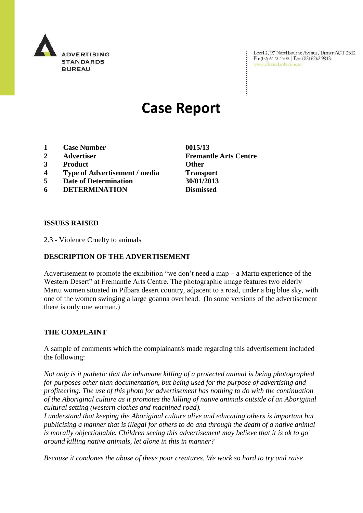

Level 2, 97 Northbourne Avenue, Turner ACT 2612 Ph: (02) 6173 1500 | Fax: (02) 6262 9833 www.adstandards.com.au

# **Case Report**

- **1 Case Number 0015/13**
- 
- **3 Product Other**
- **4 Type of Advertisement / media Transport**
- **5 Date of Determination 30/01/2013**
- **6 DETERMINATION Dismissed**

**ISSUES RAISED**

2.3 - Violence Cruelty to animals

# **DESCRIPTION OF THE ADVERTISEMENT**

Advertisement to promote the exhibition "we don't need a map – a Martu experience of the Western Desert" at Fremantle Arts Centre. The photographic image features two elderly Martu women situated in Pilbara desert country, adjacent to a road, under a big blue sky, with one of the women swinging a large goanna overhead. (In some versions of the advertisement there is only one woman.)

### **THE COMPLAINT**

A sample of comments which the complainant/s made regarding this advertisement included the following:

*Not only is it pathetic that the inhumane killing of a protected animal is being photographed for purposes other than documentation, but being used for the purpose of advertising and profiteering. The use of this photo for advertisement has nothing to do with the continuation of the Aboriginal culture as it promotes the killing of native animals outside of an Aboriginal cultural setting (western clothes and machined road).*

*I understand that keeping the Aboriginal culture alive and educating others is important but publicising a manner that is illegal for others to do and through the death of a native animal is morally objectionable. Children seeing this advertisement may believe that it is ok to go around killing native animals, let alone in this in manner?*

*Because it condones the abuse of these poor creatures. We work so hard to try and raise* 

**2 Advertiser Fremantle Arts Centre**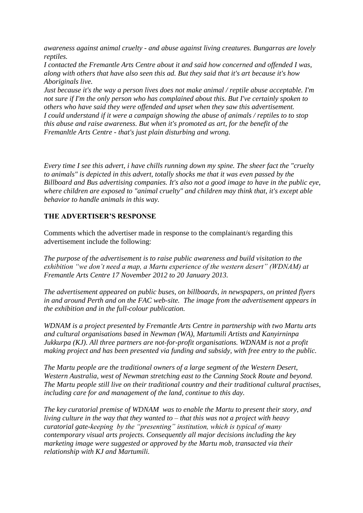*awareness against animal cruelty - and abuse against living creatures. Bungarras are lovely reptiles.*

*I contacted the Fremantle Arts Centre about it and said how concerned and offended I was, along with others that have also seen this ad. But they said that it's art because it's how Aboriginals live.*

*Just because it's the way a person lives does not make animal / reptile abuse acceptable. I'm not sure if I'm the only person who has complained about this. But I've certainly spoken to others who have said they were offended and upset when they saw this advertisement. I could understand if it were a campaign showing the abuse of animals / reptiles to to stop this abuse and raise awareness. But when it's promoted as art, for the benefit of the Fremanltle Arts Centre - that's just plain disturbing and wrong.*

*Every time I see this advert, i have chills running down my spine. The sheer fact the "cruelty to animals" is depicted in this advert, totally shocks me that it was even passed by the Billboard and Bus advertising companies. It's also not a good image to have in the public eye, where children are exposed to "animal cruelty" and children may think that, it's except able behavior to handle animals in this way.*

# **THE ADVERTISER'S RESPONSE**

Comments which the advertiser made in response to the complainant/s regarding this advertisement include the following:

*The purpose of the advertisement is to raise public awareness and build visitation to the exhibition "we don't need a map, a Martu experience of the western desert" (WDNAM) at Fremantle Arts Centre 17 November 2012 to 20 January 2013.*

*The advertisement appeared on public buses, on billboards, in newspapers, on printed flyers in and around Perth and on the FAC web-site. The image from the advertisement appears in the exhibition and in the full-colour publication.*

*WDNAM is a project presented by Fremantle Arts Centre in partnership with two Martu arts and cultural organisations based in Newman (WA), Martumili Artists and Kanyirninpa Jukkurpa (KJ). All three partners are not-for-profit organisations. WDNAM is not a profit making project and has been presented via funding and subsidy, with free entry to the public.*

*The Martu people are the traditional owners of a large segment of the Western Desert, Western Australia, west of Newman stretching east to the Canning Stock Route and beyond. The Martu people still live on their traditional country and their traditional cultural practises, including care for and management of the land, continue to this day.* 

*The key curatorial premise of WDNAM was to enable the Martu to present their story, and living culture in the way that they wanted to – that this was not a project with heavy curatorial gate-keeping by the "presenting" institution, which is typical of many contemporary visual arts projects. Consequently all major decisions including the key marketing image were suggested or approved by the Martu mob, transacted via their relationship with KJ and Martumili.*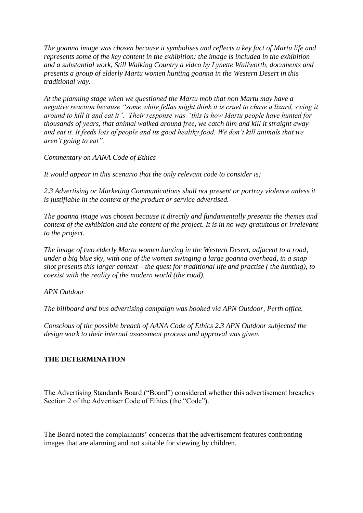*The goanna image was chosen because it symbolises and reflects a key fact of Martu life and represents some of the key content in the exhibition: the image is included in the exhibition and a substantial work, Still Walking Country a video by Lynette Wallworth, documents and presents a group of elderly Martu women hunting goanna in the Western Desert in this traditional way.*

*At the planning stage when we questioned the Martu mob that non Martu may have a negative reaction because "some white fellas might think it is cruel to chase a lizard, swing it around to kill it and eat it". Their response was "this is how Martu people have hunted for thousands of years, that animal walked around free, we catch him and kill it straight away and eat it. It feeds lots of people and its good healthy food. We don't kill animals that we aren't going to eat".*

*Commentary on AANA Code of Ethics*

*It would appear in this scenario that the only relevant code to consider is;*

*2.3 Advertising or Marketing Communications shall not present or portray violence unless it is justifiable in the context of the product or service advertised.*

*The goanna image was chosen because it directly and fundamentally presents the themes and context of the exhibition and the content of the project. It is in no way gratuitous or irrelevant to the project.* 

*The image of two elderly Martu women hunting in the Western Desert, adjacent to a road, under a big blue sky, with one of the women swinging a large goanna overhead, in a snap shot presents this larger context – the quest for traditional life and practise ( the hunting), to coexist with the reality of the modern world (the road).*

*APN Outdoor*

*The billboard and bus advertising campaign was booked via APN Outdoor, Perth office.*

*Conscious of the possible breach of AANA Code of Ethics 2.3 APN Outdoor subjected the design work to their internal assessment process and approval was given.*

# **THE DETERMINATION**

The Advertising Standards Board ("Board") considered whether this advertisement breaches Section 2 of the Advertiser Code of Ethics (the "Code").

The Board noted the complainants' concerns that the advertisement features confronting images that are alarming and not suitable for viewing by children.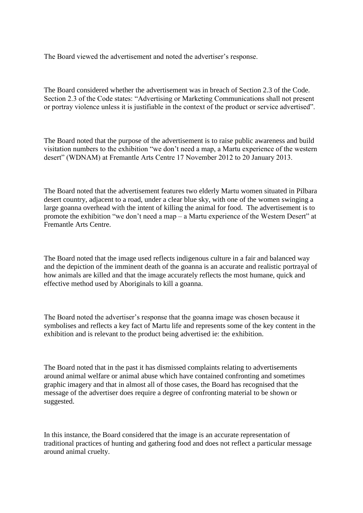The Board viewed the advertisement and noted the advertiser's response.

The Board considered whether the advertisement was in breach of Section 2.3 of the Code. Section 2.3 of the Code states: "Advertising or Marketing Communications shall not present or portray violence unless it is justifiable in the context of the product or service advertised".

The Board noted that the purpose of the advertisement is to raise public awareness and build visitation numbers to the exhibition "we don't need a map, a Martu experience of the western desert" (WDNAM) at Fremantle Arts Centre 17 November 2012 to 20 January 2013.

The Board noted that the advertisement features two elderly Martu women situated in Pilbara desert country, adjacent to a road, under a clear blue sky, with one of the women swinging a large goanna overhead with the intent of killing the animal for food. The advertisement is to promote the exhibition "we don't need a map – a Martu experience of the Western Desert" at Fremantle Arts Centre.

The Board noted that the image used reflects indigenous culture in a fair and balanced way and the depiction of the imminent death of the goanna is an accurate and realistic portrayal of how animals are killed and that the image accurately reflects the most humane, quick and effective method used by Aboriginals to kill a goanna.

The Board noted the advertiser's response that the goanna image was chosen because it symbolises and reflects a key fact of Martu life and represents some of the key content in the exhibition and is relevant to the product being advertised ie: the exhibition.

The Board noted that in the past it has dismissed complaints relating to advertisements around animal welfare or animal abuse which have contained confronting and sometimes graphic imagery and that in almost all of those cases, the Board has recognised that the message of the advertiser does require a degree of confronting material to be shown or suggested.

In this instance, the Board considered that the image is an accurate representation of traditional practices of hunting and gathering food and does not reflect a particular message around animal cruelty.